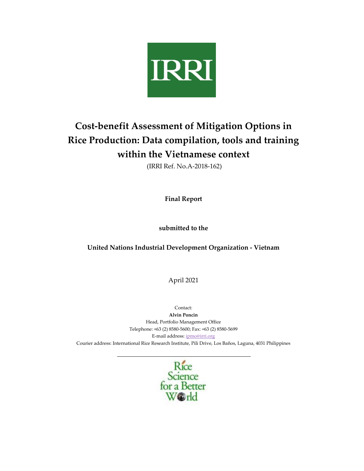

# **Cost-benefit Assessment of Mitigation Options in Rice Production: Data compilation, tools and training within the Vietnamese context**

(IRRI Ref. No.A-2018-162)

**Final Report**

**submitted to the**

## **United Nations Industrial Development Organization - Vietnam**

April 2021

Contact:

**Alvin Poncin** Head, Portfolio Management Office Telephone: +63 (2) 8580-5600; Fax: +63 (2) 8580-5699 E-mail address[: ipmo@irri.org](mailto:ipmo@irri.org) Courier address: International Rice Research Institute, Pili Drive, Los Baños, Laguna, 4031 Philippines

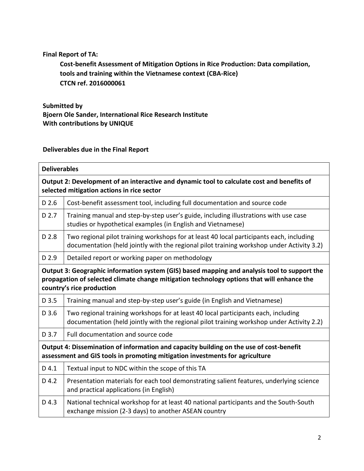## **Final Report of TA:**

**Cost-benefit Assessment of Mitigation Options in Rice Production: Data compilation, tools and training within the Vietnamese context (CBA-Rice) CTCN ref. 2016000061**

**Submitted by Bjoern Ole Sander, International Rice Research Institute With contributions by UNIQUE**

**Deliverables due in the Final Report** 

| <b>Deliverables</b>                                                                                                                                                                                                     |                                                                                                                                                                                       |  |
|-------------------------------------------------------------------------------------------------------------------------------------------------------------------------------------------------------------------------|---------------------------------------------------------------------------------------------------------------------------------------------------------------------------------------|--|
| Output 2: Development of an interactive and dynamic tool to calculate cost and benefits of<br>selected mitigation actions in rice sector                                                                                |                                                                                                                                                                                       |  |
| $D$ 2.6                                                                                                                                                                                                                 | Cost-benefit assessment tool, including full documentation and source code                                                                                                            |  |
| D 2.7                                                                                                                                                                                                                   | Training manual and step-by-step user's guide, including illustrations with use case<br>studies or hypothetical examples (in English and Vietnamese)                                  |  |
| D 2.8                                                                                                                                                                                                                   | Two regional pilot training workshops for at least 40 local participants each, including<br>documentation (held jointly with the regional pilot training workshop under Activity 3.2) |  |
| D 2.9                                                                                                                                                                                                                   | Detailed report or working paper on methodology                                                                                                                                       |  |
| Output 3: Geographic information system (GIS) based mapping and analysis tool to support the<br>propagation of selected climate change mitigation technology options that will enhance the<br>country's rice production |                                                                                                                                                                                       |  |
| D 3.5                                                                                                                                                                                                                   | Training manual and step-by-step user's guide (in English and Vietnamese)                                                                                                             |  |
| D 3.6                                                                                                                                                                                                                   | Two regional training workshops for at least 40 local participants each, including<br>documentation (held jointly with the regional pilot training workshop under Activity 2.2)       |  |
| D 3.7                                                                                                                                                                                                                   | Full documentation and source code                                                                                                                                                    |  |
| Output 4: Dissemination of information and capacity building on the use of cost-benefit<br>assessment and GIS tools in promoting mitigation investments for agriculture                                                 |                                                                                                                                                                                       |  |
| D 4.1                                                                                                                                                                                                                   | Textual input to NDC within the scope of this TA                                                                                                                                      |  |
| D 4.2                                                                                                                                                                                                                   | Presentation materials for each tool demonstrating salient features, underlying science<br>and practical applications (in English)                                                    |  |
| D 4.3                                                                                                                                                                                                                   | National technical workshop for at least 40 national participants and the South-South<br>exchange mission (2-3 days) to another ASEAN country                                         |  |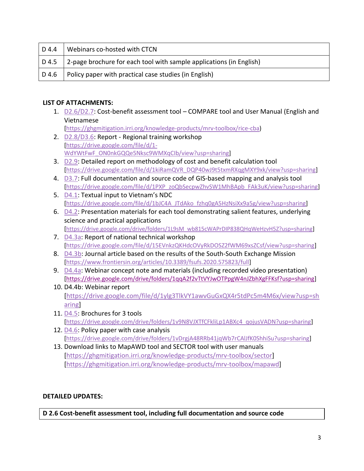| D 4.4 | Webinars co-hosted with CTCN                                                      |
|-------|-----------------------------------------------------------------------------------|
|       | D 4.5 $\vert$ 2-page brochure for each tool with sample applications (in English) |
|       | $\vert$ D 4.6   Policy paper with practical case studies (in English)             |

## <span id="page-2-0"></span>**LIST OF ATTACHMENTS:**

- 1. [D2.6/D2.7:](https://ghgmitigation.irri.org/knowledge-products/mrv-toolbox/rice-cba) Cost-benefit assessment tool COMPARE tool and User Manual (English and Vietnamese [\[https://ghgmitigation.irri.org/knowledge-products/mrv-toolbox/rice-cba\)](https://ghgmitigation.irri.org/knowledge-products/mrv-toolbox/rice-cba)
- <span id="page-2-1"></span>2. [D2.8/D3.6:](https://drive.google.com/file/d/1-WdYWtFwF_ON0nkGQQe5Nksc9WMXqCIb/view?usp=sharing) Report - Regional training workshop [\[https://drive.google.com/file/d/1-](https://drive.google.com/file/d/1-WdYWtFwF_ON0nkGQQe5Nksc9WMXqCIb/view?usp=sharing) [WdYWtFwF\\_ON0nkGQQe5Nksc9WMXqCIb/view?usp=sharing\]](https://drive.google.com/file/d/1-WdYWtFwF_ON0nkGQQe5Nksc9WMXqCIb/view?usp=sharing)
- <span id="page-2-2"></span>3. [D2.9:](https://drive.google.com/file/d/1kiRamQVR_DQP40wJ9t5txmRXqgMXY9xk/view?usp=sharing) Detailed report on methodology of cost and benefit calculation tool [\[https://drive.google.com/file/d/1kiRamQVR\\_DQP40wJ9t5txmRXqgMXY9xk/view?usp=sharing\]](https://drive.google.com/file/d/1kiRamQVR_DQP40wJ9t5txmRXqgMXY9xk/view?usp=sharing)
- <span id="page-2-3"></span>4. [D3.7:](https://drive.google.com/file/d/1PXP_zoQbSecpwZhvSW1MhBApb_FAk3uK/view?usp=sharing) Full documentation and source code of GIS-based mapping and analysis tool [\[https://drive.google.com/file/d/1PXP\\_zoQbSecpwZhvSW1MhBApb\\_FAk3uK/view?usp=sharing\]](https://drive.google.com/file/d/1PXP_zoQbSecpwZhvSW1MhBApb_FAk3uK/view?usp=sharing)
- <span id="page-2-5"></span><span id="page-2-4"></span>5. [D4.1](https://drive.google.com/file/d/1bJC4A_JTdAko_fzhq0gA5HzNsiXx9a5g/view?usp=sharing): Textual input to Vietnam's NDC [\[https://drive.google.com/file/d/1bJC4A\\_JTdAko\\_fzhq0gA5HzNsiXx9a5g/view?usp=sharing\]](https://drive.google.com/file/d/1bJC4A_JTdAko_fzhq0gA5HzNsiXx9a5g/view?usp=sharing)
- 6.  $D4.2$ : Presentation materials for each tool demonstrating salient features, underlying science and practical applications

[[https://drive.google.com/drive/folders/1L9sM\\_wb815cWAPrDIP838QHqWeHzvH5Z?usp=sharing\]](https://drive.google.com/drive/folders/1L9sM_wb815cWAPrDIP838QHqWeHzvH5Z?usp=sharing)

- <span id="page-2-7"></span><span id="page-2-6"></span>7. [D4.3a:](https://drive.google.com/file/d/15EVnkzQKHdcOVyRkDOSZ2fWM69xsZCsf/view?usp=sharing) Report of national technical workshop [\[https://drive.google.com/file/d/15EVnkzQKHdcOVyRkDOSZ2fWM69xsZCsf/view?usp=sharing\]](https://drive.google.com/file/d/15EVnkzQKHdcOVyRkDOSZ2fWM69xsZCsf/view?usp=sharing)
- <span id="page-2-8"></span>8. [D4.3b:](https://www.frontiersin.org/articles/10.3389/fsufs.2020.575823/full) Journal article based on the results of the South-South Exchange Mission [\[https://www.frontiersin.org/articles/10.3389/fsufs.2020.575823/full\]](https://www.frontiersin.org/articles/10.3389/fsufs.2020.575823/full)
- 9. [D4.4a](https://drive.google.com/drive/folders/1qqA2f2vTtVYJwOTPpgW4nJZbhXgFFKsf?usp=sharing): Webinar concept note and materials (including recorded video presentation) [\[https://drive.google.com/drive/folders/1qqA2f2vTtVYJwOTPpgW4nJZbhXgFFKsf?usp=sharing\]](https://drive.google.com/drive/folders/1qqA2f2vTtVYJwOTPpgW4nJZbhXgFFKsf?usp=sharing)
- <span id="page-2-9"></span>10. D4.4b: Webinar report [\[https://drive.google.com/file/d/1ylg3TlkVY1awvGuGxQX4r5tdPc5m4M6x/view?usp=sh](https://drive.google.com/file/d/1ylg3TlkVY1awvGuGxQX4r5tdPc5m4M6x/view?usp=sharing) [aring\]](https://drive.google.com/file/d/1ylg3TlkVY1awvGuGxQX4r5tdPc5m4M6x/view?usp=sharing)
- <span id="page-2-10"></span>11. [D4.5:](https://drive.google.com/drive/folders/1v9N8VJXTfCFkliLp1ABXc4_qojusVADN?usp=sharing) Brochures for 3 tools [\[https://drive.google.com/drive/folders/1v9N8VJXTfCFkliLp1ABXc4\\_qojusVADN?usp=sharing\]](https://drive.google.com/drive/folders/1v9N8VJXTfCFkliLp1ABXc4_qojusVADN?usp=sharing)
- <span id="page-2-11"></span>12. [D4.6:](https://drive.google.com/drive/folders/1vDrgjA48RRb41jqWb7rCAlJfK0ShhiSu?usp=sharing) Policy paper with case analysis [\[https://drive.google.com/drive/folders/1vDrgjA48RRb41jqWb7rCAlJfK0ShhiSu?usp=sharing\]](https://drive.google.com/drive/folders/1vDrgjA48RRb41jqWb7rCAlJfK0ShhiSu?usp=sharing)
- 13. Download links to MapAWD tool and SECTOR tool with user manuals [\[https://ghgmitigation.irri.org/knowledge-products/mrv-toolbox/sector\]](https://ghgmitigation.irri.org/knowledge-products/mrv-toolbox/sector) [\[https://ghgmitigation.irri.org/knowledge-products/mrv-toolbox/mapawd\]](https://ghgmitigation.irri.org/knowledge-products/mrv-toolbox/mapawd)

#### **DETAILED UPDATES:**

**D 2.6 Cost-benefit assessment tool, including full documentation and source code**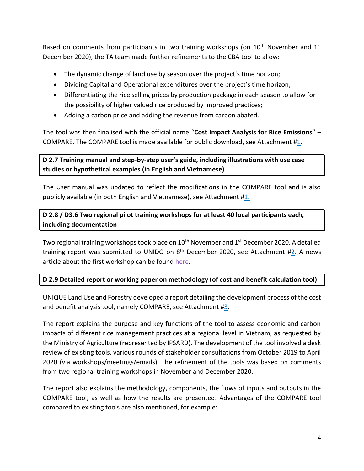Based on comments from participants in two training workshops (on  $10<sup>th</sup>$  November and  $1<sup>st</sup>$ December 2020), the TA team made further refinements to the CBA tool to allow:

- The dynamic change of land use by season over the project's time horizon;
- Dividing Capital and Operational expenditures over the project's time horizon;
- Differentiating the rice selling prices by production package in each season to allow for the possibility of higher valued rice produced by improved practices;
- Adding a carbon price and adding the revenue from carbon abated.

The tool was then finalised with the official name "**Cost Impact Analysis for Rice Emissions**" – COMPARE. The COMPARE tool is made available for public download, see Attachment [#1.](#page-2-0)

## **D 2.7 Training manual and step-by-step user's guide, including illustrations with use case studies or hypothetical examples (in English and Vietnamese)**

The User manual was updated to reflect the modifications in the COMPARE tool and is also publicly available (in both English and Vietnamese), see Attachment [#1.](#page-2-0)

# **D 2.8 / D3.6 Two regional pilot training workshops for at least 40 local participants each, including documentation**

Two regional training workshops took place on 10<sup>th</sup> November and 1<sup>st</sup> December 2020. A detailed training report was submitted to UNIDO on 8<sup>th</sup> December 2020, see Attachment [#2.](#page-2-1) A news article about the first workshop can be found [here.](file:///D:/IRRI/IRRI%20Projects/Reporting/CTCN/1.%09https:/www.irri.org/news-and-events/news/vietnam%25E2%2580%2599s-ndc-process-be-aided-tools-assessing-costs-and-benefits-greenhouse)

## **D 2.9 Detailed report or working paper on methodology (of cost and benefit calculation tool)**

UNIQUE Land Use and Forestry developed a report detailing the development process of the cost and benefit analysis tool, namely COMPARE, see Attachment [#3.](#page-2-2)

The report explains the purpose and key functions of the tool to assess economic and carbon impacts of different rice management practices at a regional level in Vietnam, as requested by the Ministry of Agriculture (represented by IPSARD). The development of the tool involved a desk review of existing tools, various rounds of stakeholder consultations from October 2019 to April 2020 (via workshops/meetings/emails). The refinement of the tools was based on comments from two regional training workshops in November and December 2020.

The report also explains the methodology, components, the flows of inputs and outputs in the COMPARE tool, as well as how the results are presented. Advantages of the COMPARE tool compared to existing tools are also mentioned, for example: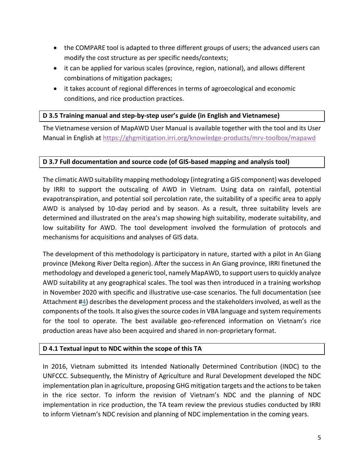- the COMPARE tool is adapted to three different groups of users; the advanced users can modify the cost structure as per specific needs/contexts;
- it can be applied for various scales (province, region, national), and allows different combinations of mitigation packages;
- it takes account of regional differences in terms of agroecological and economic conditions, and rice production practices.

### **D 3.5 Training manual and step-by-step user's guide (in English and Vietnamese)**

The Vietnamese version of MapAWD User Manual is available together with the tool and its User Manual in English at<https://ghgmitigation.irri.org/knowledge-products/mrv-toolbox/mapawd>

## **D 3.7 Full documentation and source code (of GIS-based mapping and analysis tool)**

The climatic AWD suitability mapping methodology (integrating a GIS component) was developed by IRRI to support the outscaling of AWD in Vietnam. Using data on rainfall, potential evapotranspiration, and potential soil percolation rate, the suitability of a specific area to apply AWD is analysed by 10-day period and by season. As a result, three suitability levels are determined and illustrated on the area's map showing high suitability, moderate suitability, and low suitability for AWD. The tool development involved the formulation of protocols and mechanisms for acquisitions and analyses of GIS data.

The development of this methodology is participatory in nature, started with a pilot in An Giang province (Mekong River Delta region). After the success in An Giang province, IRRI finetuned the methodology and developed a generic tool, namely MapAWD, to support users to quickly analyze AWD suitability at any geographical scales. The tool was then introduced in a training workshop in November 2020 with specific and illustrative use-case scenarios. The full documentation (see Attachment [#4\)](#page-2-3) describes the development process and the stakeholders involved, as well as the components of the tools. It also gives the source codes in VBA language and system requirements for the tool to operate. The best available geo-referenced information on Vietnam's rice production areas have also been acquired and shared in non-proprietary format.

## **D 4.1 Textual input to NDC within the scope of this TA**

In 2016, Vietnam submitted its Intended Nationally Determined Contribution (INDC) to the UNFCCC. Subsequently, the Ministry of Agriculture and Rural Development developed the NDC implementation plan in agriculture, proposing GHG mitigation targets and the actions to be taken in the rice sector. To inform the revision of Vietnam's NDC and the planning of NDC implementation in rice production, the TA team review the previous studies conducted by IRRI to inform Vietnam's NDC revision and planning of NDC implementation in the coming years.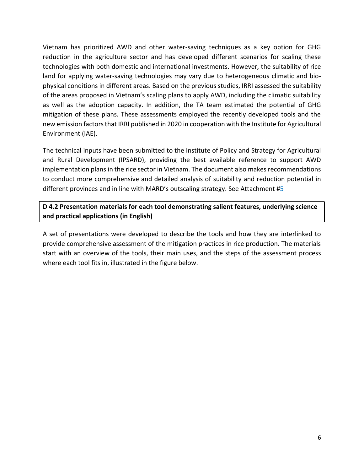Vietnam has prioritized AWD and other water-saving techniques as a key option for GHG reduction in the agriculture sector and has developed different scenarios for scaling these technologies with both domestic and international investments. However, the suitability of rice land for applying water-saving technologies may vary due to heterogeneous climatic and biophysical conditions in different areas. Based on the previous studies, IRRI assessed the suitability of the areas proposed in Vietnam's scaling plans to apply AWD, including the climatic suitability as well as the adoption capacity. In addition, the TA team estimated the potential of GHG mitigation of these plans. These assessments employed the recently developed tools and the new emission factors that IRRI published in 2020 in cooperation with the Institute for Agricultural Environment (IAE).

The technical inputs have been submitted to the Institute of Policy and Strategy for Agricultural and Rural Development (IPSARD), providing the best available reference to support AWD implementation plans in the rice sector in Vietnam. The document also makes recommendations to conduct more comprehensive and detailed analysis of suitability and reduction potential in different provinces and in line with MARD's outscaling strategy. See Attachment  $#_5$ 

**D 4.2 Presentation materials for each tool demonstrating salient features, underlying science and practical applications (in English)**

A set of presentations were developed to describe the tools and how they are interlinked to provide comprehensive assessment of the mitigation practices in rice production. The materials start with an overview of the tools, their main uses, and the steps of the assessment process where each tool fits in, illustrated in the figure below.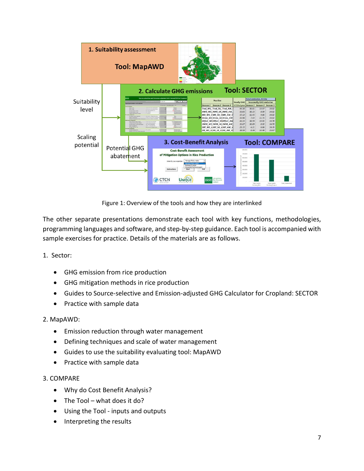

Figure 1: Overview of the tools and how they are interlinked

The other separate presentations demonstrate each tool with key functions, methodologies, programming languages and software, and step-by-step guidance. Each tool is accompanied with sample exercises for practice. Details of the materials are as follows.

1. Sector:

- GHG emission from rice production
- GHG mitigation methods in rice production
- Guides to Source-selective and Emission-adjusted GHG Calculator for Cropland: SECTOR
- Practice with sample data

#### 2. MapAWD:

- Emission reduction through water management
- Defining techniques and scale of water management
- Guides to use the suitability evaluating tool: MapAWD
- Practice with sample data

## 3. COMPARE

- Why do Cost Benefit Analysis?
- The Tool what does it do?
- Using the Tool inputs and outputs
- Interpreting the results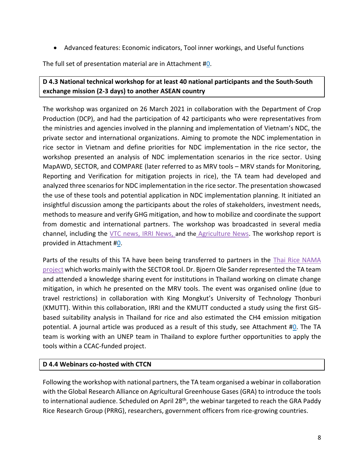• Advanced features: Economic indicators, Tool inner workings, and Useful functions

The full set of presentation material are in Attachment [#0.](#page-2-5)

# **D 4.3 National technical workshop for at least 40 national participants and the South-South exchange mission (2-3 days) to another ASEAN country**

The workshop was organized on 26 March 2021 in collaboration with the Department of Crop Production (DCP), and had the participation of 42 participants who were representatives from the ministries and agencies involved in the planning and implementation of Vietnam's NDC, the private sector and international organizations. Aiming to promote the NDC implementation in rice sector in Vietnam and define priorities for NDC implementation in the rice sector, the workshop presented an analysis of NDC implementation scenarios in the rice sector. Using MapAWD, SECTOR, and COMPARE (later referred to as MRV tools – MRV stands for Monitoring, Reporting and Verification for mitigation projects in rice), the TA team had developed and analyzed three scenarios for NDC implementation in the rice sector. The presentation showcased the use of these tools and potential application in NDC implementation planning. It initiated an insightful discussion among the participants about the roles of stakeholders, investment needs, methods to measure and verify GHG mitigation, and how to mobilize and coordinate the support from domestic and international partners. The workshop was broadcasted in several media channel, including the [VTC news,](https://drive.google.com/file/d/1dGSzUAdTqSK9Yh-mhdPaZvWRW4j_qO7I/view) [IRRI News,](https://www.irri.org/news-and-events/news/mard-organizes-priority-setting-workshop-ndc-implementation-vietnam%E2%80%99s-rice) and the [Agriculture News.](https://nongnghiep.vn/san-xuat-lua-gao-di-doi-voi-giam-phat-thai-khi-nha-kinh-d287037.html) The workshop report is provided in Attachment [#0.](#page-2-6)

Parts of the results of this TA have been being transferred to partners in the *Thai Rice NAMA* [project](https://ghgmitigation.irri.org/focus-countries2/thailand) which works mainly with the SECTOR tool. Dr. Bjoern Ole Sander represented the TA team and attended a knowledge sharing event for institutions in Thailand working on climate change mitigation, in which he presented on the MRV tools. The event was organised online (due to travel restrictions) in collaboration with King Mongkut's University of Technology Thonburi (KMUTT). Within this collaboration, IRRI and the KMUTT conducted a study using the first GISbased suitability analysis in Thailand for rice and also estimated the CH4 emission mitigation potential. A journal article was produced as a result of this study, see Attachment [#0.](#page-2-7) The TA team is working with an UNEP team in Thailand to explore further opportunities to apply the tools within a CCAC-funded project.

## **D 4.4 Webinars co-hosted with CTCN**

Following the workshop with national partners, the TA team organised a webinar in collaboration with the Global Research Alliance on Agricultural Greenhouse Gases (GRA) to introduce the tools to international audience. Scheduled on April 28<sup>th</sup>, the webinar targeted to reach the GRA Paddy Rice Research Group (PRRG), researchers, government officers from rice-growing countries.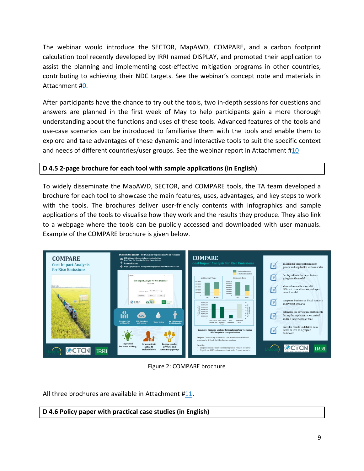The webinar would introduce the SECTOR, MapAWD, COMPARE, and a carbon footprint calculation tool recently developed by IRRI named DISPLAY, and promoted their application to assist the planning and implementing cost-effective mitigation programs in other countries, contributing to achieving their NDC targets. See the webinar's concept note and materials in Attachment [#0.](#page-2-8)

After participants have the chance to try out the tools, two in-depth sessions for questions and answers are planned in the first week of May to help participants gain a more thorough understanding about the functions and uses of these tools. Advanced features of the tools and use-case scenarios can be introduced to familiarise them with the tools and enable them to explore and take advantages of these dynamic and interactive tools to suit the specific context and needs of different countries/user groups. See the webinar report in Attachment  $\#10$  $\#10$ 

## **D 4.5 2-page brochure for each tool with sample applications (in English)**

To widely disseminate the MapAWD, SECTOR, and COMPARE tools, the TA team developed a brochure for each tool to showcase the main features, uses, advantages, and key steps to work with the tools. The brochures deliver user-friendly contents with infographics and sample applications of the tools to visualise how they work and the results they produce. They also link to a webpage where the tools can be publicly accessed and downloaded with user manuals. Example of the COMPARE brochure is given below.



Figure 2: COMPARE brochure

All three brochures are available in Attachment [#11.](#page-2-10)

**D 4.6 Policy paper with practical case studies (in English)**